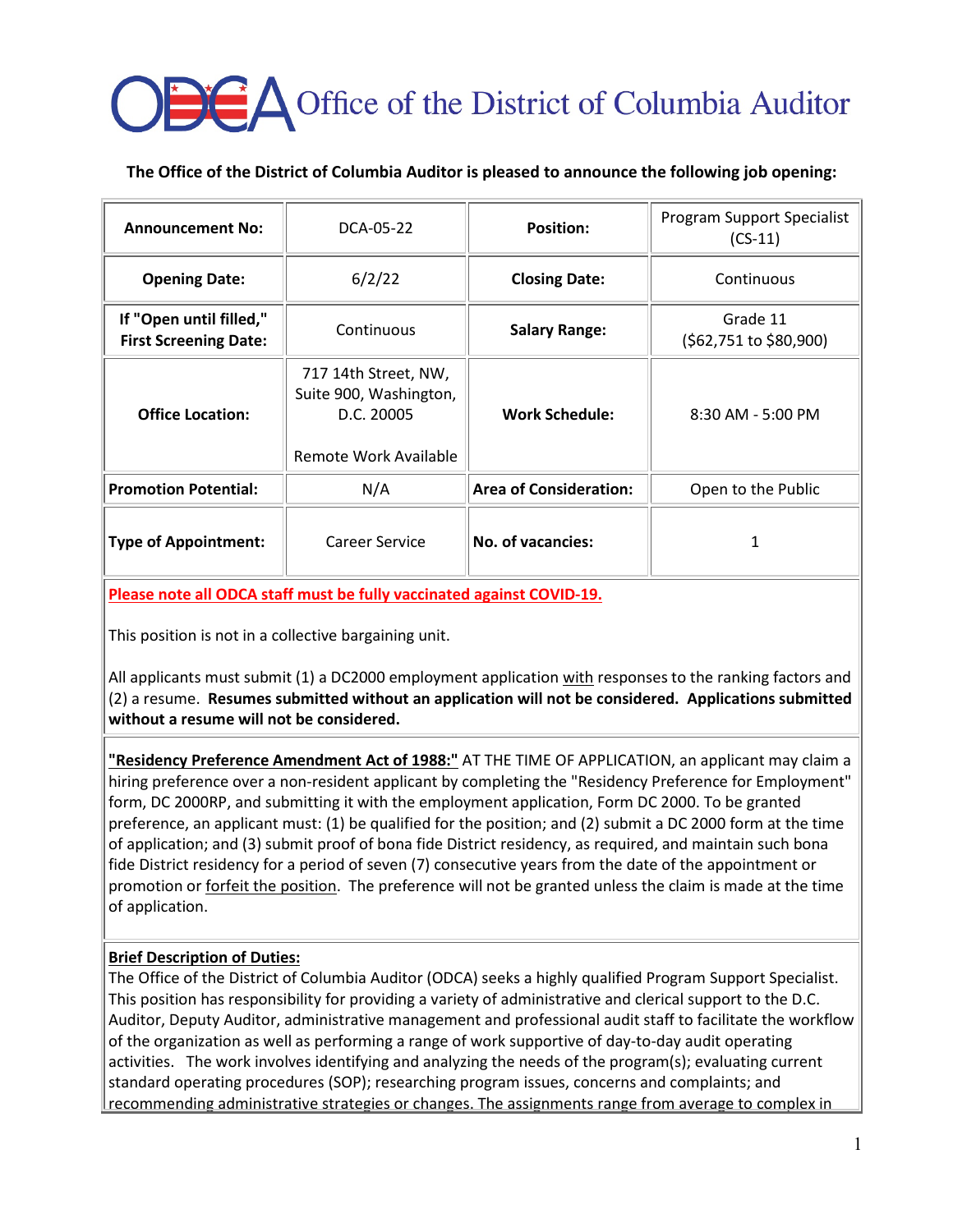# **A** Office of the District of Columbia Auditor

## **The Office of the District of Columbia Auditor is pleased to announce the following job opening:**

| <b>Announcement No:</b>                                 | DCA-05-22                                                                             | <b>Position:</b>              | Program Support Specialist<br>$(CS-11)$ |
|---------------------------------------------------------|---------------------------------------------------------------------------------------|-------------------------------|-----------------------------------------|
| <b>Opening Date:</b>                                    | 6/2/22                                                                                | <b>Closing Date:</b>          | Continuous                              |
| If "Open until filled,"<br><b>First Screening Date:</b> | Continuous                                                                            | <b>Salary Range:</b>          | Grade 11<br>(\$62,751 to \$80,900)      |
| <b>Office Location:</b>                                 | 717 14th Street, NW,<br>Suite 900, Washington,<br>D.C. 20005<br>Remote Work Available | <b>Work Schedule:</b>         | $8:30$ AM - 5:00 PM                     |
| <b>Promotion Potential:</b>                             | N/A                                                                                   | <b>Area of Consideration:</b> | Open to the Public                      |
| <b>Type of Appointment:</b>                             | Career Service                                                                        | No. of vacancies:             | 1                                       |

**Please note all ODCA staff must be fully vaccinated against COVID-19.**

This position is not in a collective bargaining unit.

All applicants must submit (1) a DC2000 employment application with responses to the ranking factors and (2) a resume. **Resumes submitted without an application will not be considered. Applications submitted without a resume will not be considered.**

**"Residency Preference Amendment Act of 1988:"** AT THE TIME OF APPLICATION, an applicant may claim a hiring preference over a non-resident applicant by completing the "Residency Preference for Employment" form, DC 2000RP, and submitting it with the employment application, Form DC 2000. To be granted preference, an applicant must: (1) be qualified for the position; and (2) submit a DC 2000 form at the time of application; and (3) submit proof of bona fide District residency, as required, and maintain such bona fide District residency for a period of seven (7) consecutive years from the date of the appointment or promotion or **forfeit the position**. The preference will not be granted unless the claim is made at the time of application.

## **Brief Description of Duties:**

The Office of the District of Columbia Auditor (ODCA) seeks a highly qualified Program Support Specialist. This position has responsibility for providing a variety of administrative and clerical support to the D.C. Auditor, Deputy Auditor, administrative management and professional audit staff to facilitate the workflow of the organization as well as performing a range of work supportive of day-to-day audit operating activities. The work involves identifying and analyzing the needs of the program(s); evaluating current standard operating procedures (SOP); researching program issues, concerns and complaints; and recommending administrative strategies or changes. The assignments range from average to complex in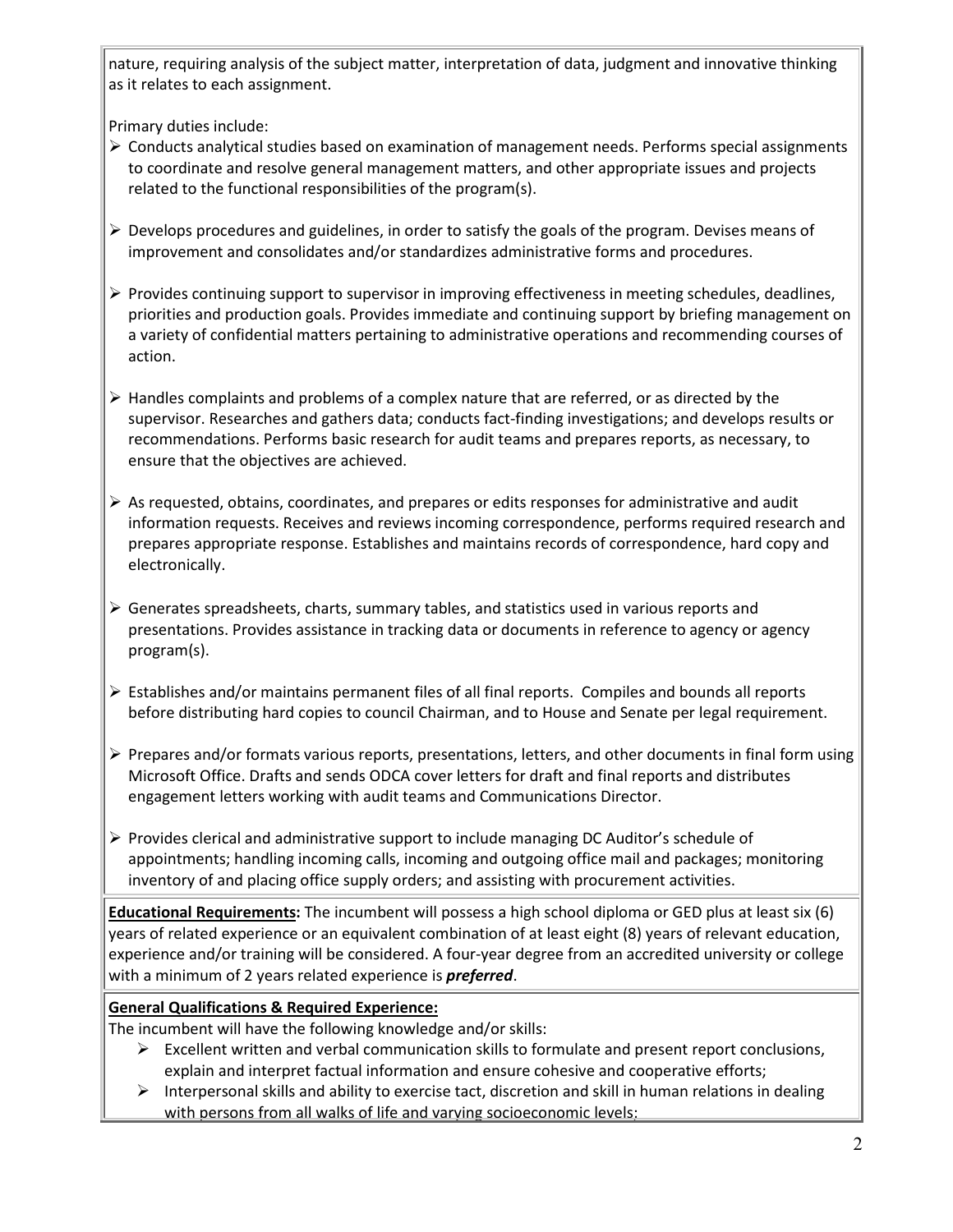nature, requiring analysis of the subject matter, interpretation of data, judgment and innovative thinking as it relates to each assignment.

Primary duties include:

- Conducts analytical studies based on examination of management needs. Performs special assignments to coordinate and resolve general management matters, and other appropriate issues and projects related to the functional responsibilities of the program(s).
- $\triangleright$  Develops procedures and guidelines, in order to satisfy the goals of the program. Devises means of improvement and consolidates and/or standardizes administrative forms and procedures.
- $\triangleright$  Provides continuing support to supervisor in improving effectiveness in meeting schedules, deadlines, priorities and production goals. Provides immediate and continuing support by briefing management on a variety of confidential matters pertaining to administrative operations and recommending courses of action.
- $\triangleright$  Handles complaints and problems of a complex nature that are referred, or as directed by the supervisor. Researches and gathers data; conducts fact-finding investigations; and develops results or recommendations. Performs basic research for audit teams and prepares reports, as necessary, to ensure that the objectives are achieved.
- $\triangleright$  As requested, obtains, coordinates, and prepares or edits responses for administrative and audit information requests. Receives and reviews incoming correspondence, performs required research and prepares appropriate response. Establishes and maintains records of correspondence, hard copy and electronically.
- $\triangleright$  Generates spreadsheets, charts, summary tables, and statistics used in various reports and presentations. Provides assistance in tracking data or documents in reference to agency or agency program(s).
- $\triangleright$  Establishes and/or maintains permanent files of all final reports. Compiles and bounds all reports before distributing hard copies to council Chairman, and to House and Senate per legal requirement.
- $\triangleright$  Prepares and/or formats various reports, presentations, letters, and other documents in final form using Microsoft Office. Drafts and sends ODCA cover letters for draft and final reports and distributes engagement letters working with audit teams and Communications Director.
- $\triangleright$  Provides clerical and administrative support to include managing DC Auditor's schedule of appointments; handling incoming calls, incoming and outgoing office mail and packages; monitoring inventory of and placing office supply orders; and assisting with procurement activities.

**Educational Requirements:** The incumbent will possess a high school diploma or GED plus at least six (6) years of related experience or an equivalent combination of at least eight (8) years of relevant education, experience and/or training will be considered. A four-year degree from an accredited university or college with a minimum of 2 years related experience is *preferred*.

## **General Qualifications & Required Experience:**

The incumbent will have the following knowledge and/or skills:

- $\triangleright$  Excellent written and verbal communication skills to formulate and present report conclusions, explain and interpret factual information and ensure cohesive and cooperative efforts;
- $\triangleright$  Interpersonal skills and ability to exercise tact, discretion and skill in human relations in dealing with persons from all walks of life and varying socioeconomic levels;